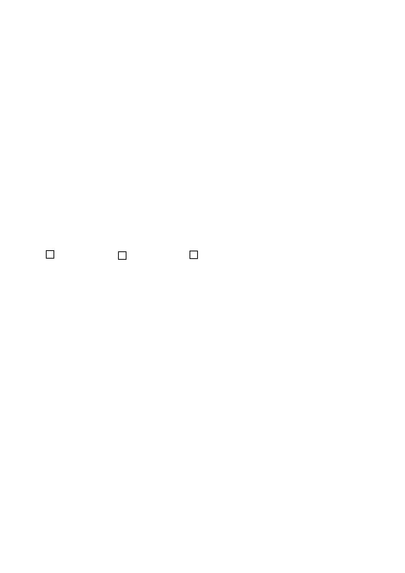$\Box$  $\Box$  $\Box$